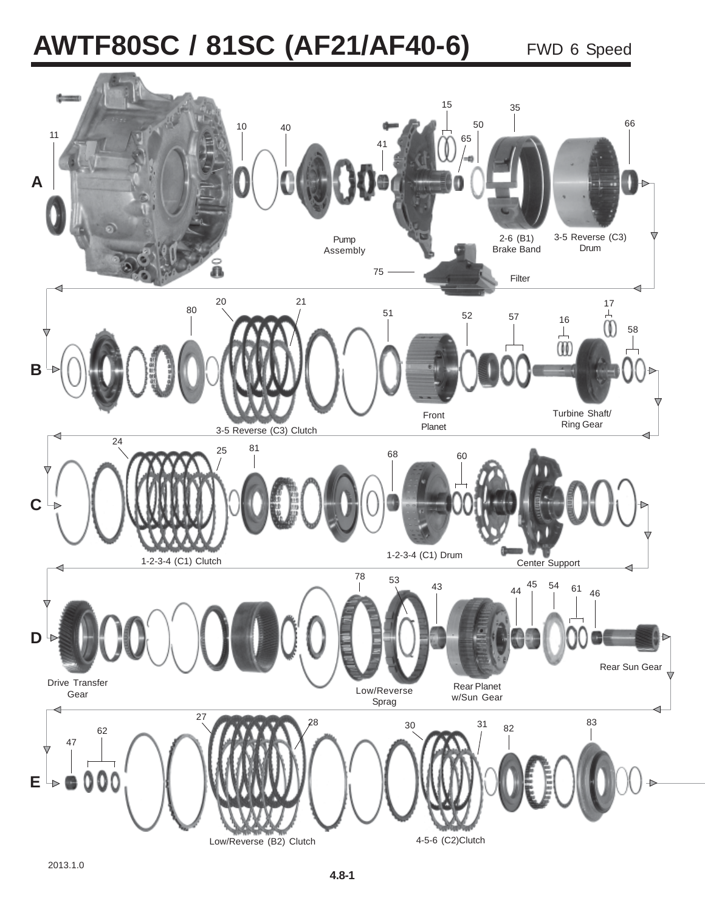# **AWTF80SC / 81SC (AF21/AF40-6)** FWD 6 Speed

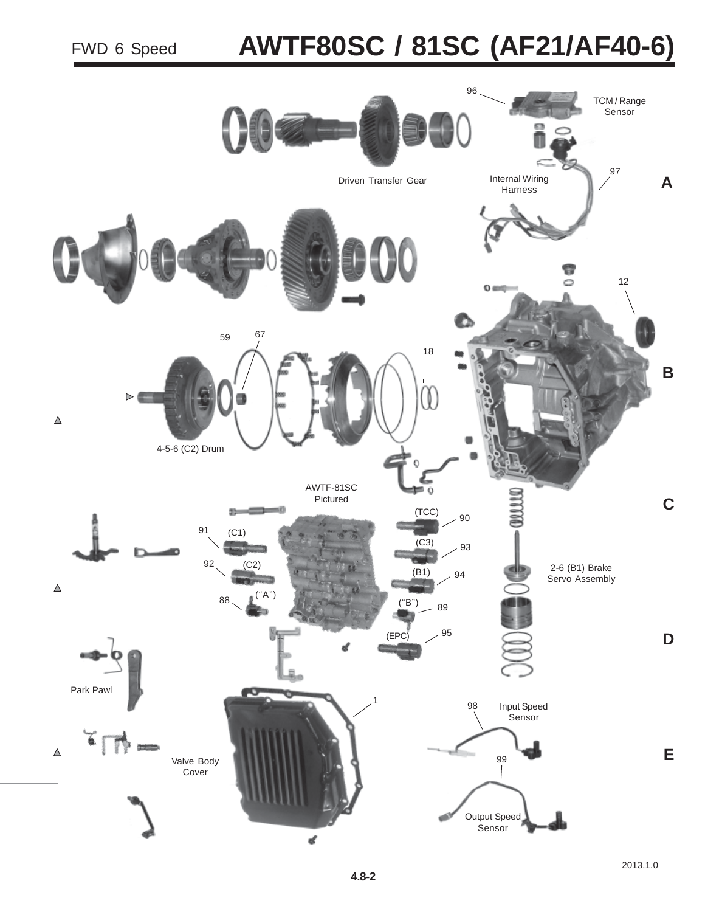# **AWTF80SC / 81SC (AF21/AF40-6)**

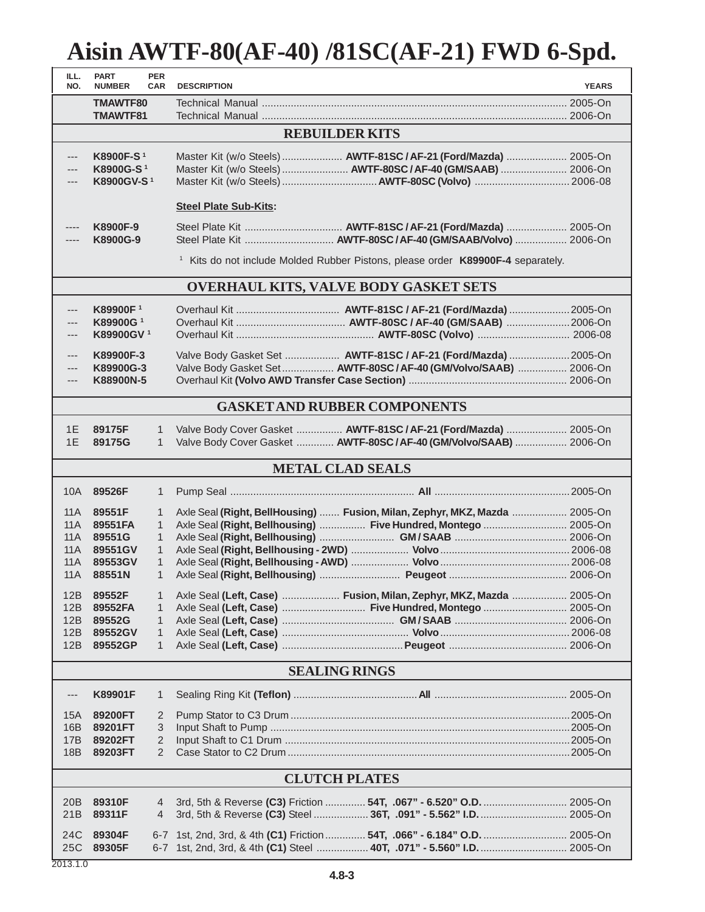| ILL.<br>NO.                             | <b>PART</b><br><b>NUMBER</b>                                                                           | <b>PER</b><br><b>CAR</b>                                                          | <b>DESCRIPTION</b>                                                                                                                                  | <b>YEARS</b> |  |  |
|-----------------------------------------|--------------------------------------------------------------------------------------------------------|-----------------------------------------------------------------------------------|-----------------------------------------------------------------------------------------------------------------------------------------------------|--------------|--|--|
|                                         | TMAWTF80<br><b>TMAWTF81</b>                                                                            |                                                                                   |                                                                                                                                                     |              |  |  |
|                                         | <b>REBUILDER KITS</b>                                                                                  |                                                                                   |                                                                                                                                                     |              |  |  |
| ---<br>---<br>---                       | K8900F-S <sup>1</sup><br>K8900G-S <sup>1</sup><br>K8900GV-S <sup>1</sup>                               |                                                                                   | Master Kit (w/o Steels)  AWTF-81SC / AF-21 (Ford/Mazda)  2005-On<br>Master Kit (w/o Steels)  AWTF-80SC / AF-40 (GM/SAAB)  2006-On                   |              |  |  |
|                                         | <b>Steel Plate Sub-Kits:</b>                                                                           |                                                                                   |                                                                                                                                                     |              |  |  |
|                                         | K8900F-9<br>K8900G-9                                                                                   |                                                                                   |                                                                                                                                                     |              |  |  |
|                                         |                                                                                                        |                                                                                   | <sup>1</sup> Kits do not include Molded Rubber Pistons, please order K89900F-4 separately.                                                          |              |  |  |
|                                         |                                                                                                        |                                                                                   | <b>OVERHAUL KITS, VALVE BODY GASKET SETS</b>                                                                                                        |              |  |  |
| ---<br>---<br>---<br>---<br>---         | <b>K89900F</b> <sup>1</sup><br>K89900G <sup>1</sup><br>K89900GV <sup>1</sup><br>K89900F-3<br>K89900G-3 |                                                                                   | Valve Body Gasket Set  AWTF-81SC / AF-21 (Ford/Mazda)  2005-On<br>Valve Body Gasket Set AWTF-80SC / AF-40 (GM/Volvo/SAAB)  2006-On                  |              |  |  |
| $---$                                   | K88900N-5                                                                                              |                                                                                   |                                                                                                                                                     |              |  |  |
|                                         |                                                                                                        |                                                                                   | <b>GASKET AND RUBBER COMPONENTS</b>                                                                                                                 |              |  |  |
| 1E<br>1E                                | 89175F<br>89175G                                                                                       | 1<br>$\mathbf{1}$                                                                 | Valve Body Cover Gasket  AWTF-81SC / AF-21 (Ford/Mazda)  2005-On<br>Valve Body Cover Gasket  AWTF-80SC/AF-40 (GM/Volvo/SAAB)  2006-On               |              |  |  |
|                                         |                                                                                                        |                                                                                   | <b>METAL CLAD SEALS</b>                                                                                                                             |              |  |  |
| 10A                                     | 89526F                                                                                                 | $\mathbf{1}$                                                                      |                                                                                                                                                     |              |  |  |
| 11A<br>11A<br>11A<br>11A<br>11 A<br>11A | 89551F<br>89551FA<br>89551G<br>89551GV<br>89553GV<br>88551N                                            | 1<br>$\mathbf{1}$<br>$\mathbf{1}$<br>$\mathbf{1}$<br>$\mathbf{1}$<br>$\mathbf{1}$ | Axle Seal (Right, BellHousing)  Fusion, Milan, Zephyr, MKZ, Mazda  2005-On<br>Axle Seal (Right, Bellhousing)  Five Hundred, Montego  2005-On        |              |  |  |
| 12B<br>12B<br>12B<br>12B<br>12B         | 89552F<br>89552FA<br>89552G<br>89552GV<br>89552GP                                                      | 1<br>$\mathbf{1}$<br>$\mathbf{1}$<br>$\mathbf{1}$<br>$\mathbf{1}$                 | Axle Seal (Left, Case)  Fusion, Milan, Zephyr, MKZ, Mazda  2005-On<br>Axle Seal (Left, Case)  Five Hundred, Montego  2005-On                        |              |  |  |
|                                         | <b>SEALING RINGS</b>                                                                                   |                                                                                   |                                                                                                                                                     |              |  |  |
| ---                                     | K89901F                                                                                                | $\mathbf{1}$                                                                      |                                                                                                                                                     |              |  |  |
| 15A<br>16B<br>17B<br>18B                | 89200FT<br>89201FT<br>89202FT<br>89203FT                                                               | 2<br>3<br>$\overline{2}$<br>$\overline{2}$                                        |                                                                                                                                                     |              |  |  |
|                                         |                                                                                                        |                                                                                   | <b>CLUTCH PLATES</b>                                                                                                                                |              |  |  |
| 20B<br>21B                              | 89310F<br>89311F                                                                                       | 4<br>4                                                                            | 3rd, 5th & Reverse (C3) Friction  54T, .067" - 6.520" O.D.  2005-On<br>3rd, 5th & Reverse (C3) Steel  36T, .091" - 5.562" I.D.  2005-On             |              |  |  |
| 24C<br>25C                              | 89304F<br>89305F                                                                                       |                                                                                   | 6-7 1st, 2nd, 3rd, & 4th (C1) Friction  54T, .066" - 6.184" O.D.  2005-On<br>6-7 1st, 2nd, 3rd, & 4th (C1) Steel  40T, .071" - 5.560" I.D.  2005-On |              |  |  |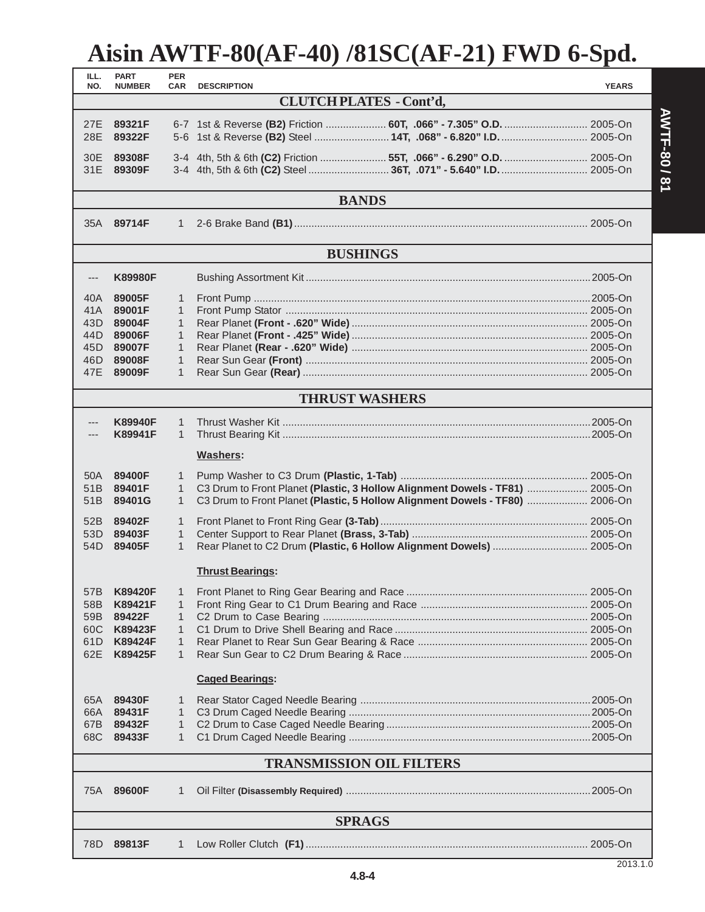| ILL.<br>NO.             | <b>PART</b><br><b>NUMBER</b>    | <b>PER</b><br>CAR | <b>DESCRIPTION</b>                                                           | <b>YEARS</b> |  |
|-------------------------|---------------------------------|-------------------|------------------------------------------------------------------------------|--------------|--|
|                         | <b>CLUTCH PLATES - Cont'd,</b>  |                   |                                                                              |              |  |
|                         |                                 |                   |                                                                              |              |  |
| 27E<br>28E              | 89321F<br>89322F                |                   | 5-6 1st & Reverse (B2) Steel  14T, .068" - 6.820" I.D.  2005-On              |              |  |
|                         |                                 |                   |                                                                              |              |  |
| 30E                     | 89308F                          |                   |                                                                              |              |  |
| 31E                     | 89309F                          |                   |                                                                              |              |  |
|                         |                                 |                   | <b>BANDS</b>                                                                 |              |  |
|                         | 35A 89714F                      | $\mathbf{1}$      |                                                                              |              |  |
|                         |                                 |                   |                                                                              |              |  |
|                         |                                 |                   | <b>BUSHINGS</b>                                                              |              |  |
| $---$                   | <b>K89980F</b>                  |                   |                                                                              |              |  |
| 40A                     | 89005F                          | 1                 |                                                                              |              |  |
| 41A                     | 89001F                          | 1                 |                                                                              |              |  |
| 43D                     | 89004F                          | $\mathbf{1}$      |                                                                              |              |  |
| 44D                     | 89006F                          | 1                 |                                                                              |              |  |
| 45D                     | 89007F                          | 1                 |                                                                              |              |  |
| 46D                     | 89008F                          | 1                 |                                                                              |              |  |
| 47E                     | 89009F                          | 1                 |                                                                              |              |  |
|                         |                                 |                   | <b>THRUST WASHERS</b>                                                        |              |  |
|                         |                                 |                   |                                                                              |              |  |
| ---                     | <b>K89940F</b><br>K89941F       | 1<br>$\mathbf{1}$ |                                                                              |              |  |
|                         |                                 |                   |                                                                              |              |  |
|                         |                                 |                   | Washers:                                                                     |              |  |
| 50A                     | 89400F                          | 1                 |                                                                              |              |  |
| 51B                     | 89401F                          | $\mathbf{1}$      | C3 Drum to Front Planet (Plastic, 3 Hollow Alignment Dowels - TF81)  2005-On |              |  |
| 51 <sub>B</sub>         | 89401G                          | 1                 | C3 Drum to Front Planet (Plastic, 5 Hollow Alignment Dowels - TF80)  2006-On |              |  |
| 52B                     | 89402F                          | $\mathbf{1}$      |                                                                              |              |  |
| 53D                     | 89403F                          | 1                 |                                                                              |              |  |
| 54D                     | 89405F                          | $\mathbf{1}$      | Rear Planet to C2 Drum (Plastic, 6 Hollow Alignment Dowels)  2005-On         |              |  |
| <b>Thrust Bearings:</b> |                                 |                   |                                                                              |              |  |
|                         |                                 |                   |                                                                              |              |  |
| 57B                     | <b>K89420F</b>                  | 1                 |                                                                              |              |  |
| 58B                     | K89421F                         | 1                 |                                                                              |              |  |
| 59B                     | 89422F<br>K89423F               | 1                 |                                                                              |              |  |
| 60C<br>61D              | <b>K89424F</b>                  | 1<br>1            |                                                                              |              |  |
| 62E                     | K89425F                         | 1                 |                                                                              |              |  |
|                         |                                 |                   |                                                                              |              |  |
|                         |                                 |                   | <b>Caged Bearings:</b>                                                       |              |  |
| 65A                     | 89430F                          | 1                 |                                                                              |              |  |
| 66A                     | 89431F                          | 1                 |                                                                              |              |  |
| 67B                     | 89432F                          | 1                 |                                                                              |              |  |
| 68C                     | 89433F                          | 1                 |                                                                              |              |  |
|                         | <b>TRANSMISSION OIL FILTERS</b> |                   |                                                                              |              |  |
| 75A                     | 89600F                          | 1                 |                                                                              |              |  |
|                         |                                 |                   |                                                                              |              |  |
| <b>SPRAGS</b>           |                                 |                   |                                                                              |              |  |
|                         | 78D 89813F                      | $\mathbf{1}$      |                                                                              |              |  |

**4.8-4**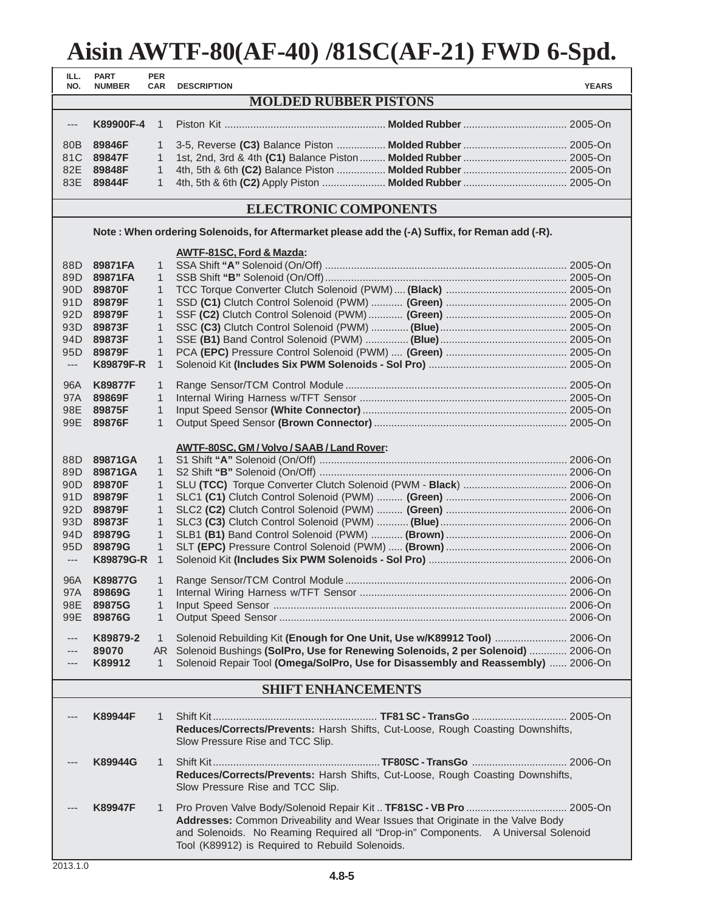| Aisin AWTF-80(AF-40) /81SC(AF-21) FWD 6-Spd. |                              |                          |                                                                                                |              |
|----------------------------------------------|------------------------------|--------------------------|------------------------------------------------------------------------------------------------|--------------|
| ILL.<br>NO.                                  | <b>PART</b><br><b>NUMBER</b> | <b>PER</b><br><b>CAR</b> | <b>DESCRIPTION</b>                                                                             | <b>YEARS</b> |
|                                              |                              |                          | <b>MOLDED RUBBER PISTONS</b>                                                                   |              |
| $---$                                        | K89900F-4                    | $\mathbf{1}$             |                                                                                                |              |
| 80B                                          | 89846F                       | $\mathbf{1}$             | 3-5, Reverse (C3) Balance Piston  Molded Rubber  2005-On                                       |              |
| 81C                                          | 89847F                       | $\mathbf{1}$             |                                                                                                |              |
| 82E                                          | 89848F                       | $\mathbf{1}$             |                                                                                                |              |
| 83E                                          | 89844F                       | $\mathbf{1}$             |                                                                                                |              |
|                                              |                              |                          | <b>ELECTRONIC COMPONENTS</b>                                                                   |              |
|                                              |                              |                          | Note: When ordering Solenoids, for Aftermarket please add the (-A) Suffix, for Reman add (-R). |              |
|                                              |                              |                          | <b>AWTF-81SC, Ford &amp; Mazda:</b>                                                            |              |
| 88D                                          | 89871FA                      | $\mathbf{1}$             |                                                                                                |              |
| 89D .                                        | 89871FA                      | 1                        |                                                                                                |              |
| 90D                                          | 89870F                       | $\mathbf{1}$             |                                                                                                |              |
| 91D                                          | 89879F                       | $\mathbf{1}$             |                                                                                                |              |
| 92D                                          | 89879F                       | $\mathbf{1}$             |                                                                                                |              |
| 93D                                          | 89873F                       | $\mathbf{1}$             |                                                                                                |              |
| 94D -                                        | 89873F                       | $\mathbf{1}$             |                                                                                                |              |
| 95D                                          | 89879F                       | 1                        |                                                                                                |              |
| $\hspace{0.05cm} \ldots$                     | <b>K89879F-R</b>             | $\mathbf{1}$             |                                                                                                |              |
| 96A                                          | <b>K89877F</b>               | $\mathbf{1}$             |                                                                                                |              |
| 97A                                          | 89869F                       | 1                        |                                                                                                |              |
| 98E                                          | 89875F                       | $\mathbf{1}$             |                                                                                                |              |
| 99E                                          | 89876F                       | $\mathbf{1}$             |                                                                                                |              |
|                                              |                              |                          | <b>AWTF-80SC, GM / Volvo / SAAB / Land Rover:</b>                                              |              |
| 88D                                          | 89871GA                      | $\mathbf{1}$             |                                                                                                |              |
| 89D                                          | 89871GA                      | $\mathbf{1}$             |                                                                                                |              |
| 90D -                                        | 89870F                       | $\mathbf{1}$             |                                                                                                |              |
| 91D                                          | 89879F                       | $\mathbf{1}$             |                                                                                                |              |
|                                              | 92D 89879F                   | $\mathbf{1}$             |                                                                                                |              |
| 93D                                          | 89873F                       | $\mathbf{1}$             |                                                                                                |              |
| 94D                                          | 89879G                       | $\mathbf{1}$             |                                                                                                |              |
| 95D                                          | 89879G                       | $\mathbf{1}$             |                                                                                                |              |
| $\hspace{0.05cm} \ldots$                     | <b>K89879G-R</b>             | $\mathbf{1}$             |                                                                                                |              |
| 96A                                          | <b>K89877G</b>               | $\mathbf{1}$             |                                                                                                |              |
| 97A                                          | 89869G                       | $\mathbf{1}$             |                                                                                                |              |
| 98E                                          | 89875G                       | $\mathbf{1}$             |                                                                                                |              |
| 99E                                          | 89876G                       | $\mathbf{1}$             |                                                                                                |              |
| $---$                                        | K89879-2                     | $\mathbf{1}$             | Solenoid Rebuilding Kit (Enough for One Unit, Use w/K89912 Tool)  2006-On                      |              |

#### **SHIFT ENHANCEMENTS**

--- **89070** AR Solenoid Bushings **(SolPro, Use for Renewing Solenoids, 2 per Solenoid)** ............. 2006-On --- **K89912** 1 Solenoid Repair Tool **(Omega/SolPro, Use for Disassembly and Reassembly)** ...... 2006-On

| <b>K89944F</b> |   | Reduces/Corrects/Prevents: Harsh Shifts, Cut-Loose, Rough Coasting Downshifts,<br>Slow Pressure Rise and TCC Slip.                                                                                                             |
|----------------|---|--------------------------------------------------------------------------------------------------------------------------------------------------------------------------------------------------------------------------------|
| K89944G        |   | Reduces/Corrects/Prevents: Harsh Shifts, Cut-Loose, Rough Coasting Downshifts,<br>Slow Pressure Rise and TCC Slip.                                                                                                             |
| <b>K89947F</b> | 1 | <b>Addresses:</b> Common Driveability and Wear Issues that Originate in the Valve Body<br>and Solenoids. No Reaming Required all "Drop-in" Components. A Universal Solenoid<br>Tool (K89912) is Required to Rebuild Solenoids. |